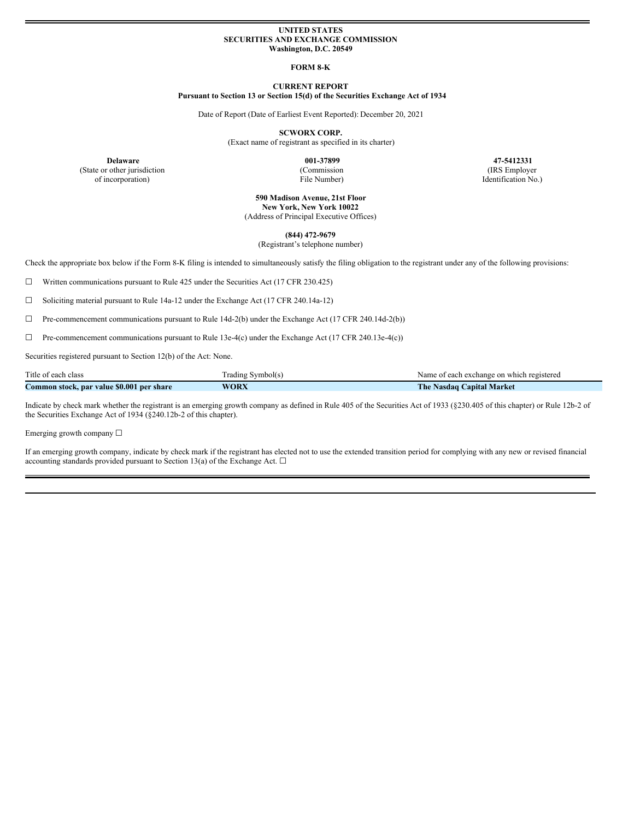### **UNITED STATES SECURITIES AND EXCHANGE COMMISSION Washington, D.C. 20549**

#### **FORM 8-K**

## **CURRENT REPORT Pursuant to Section 13 or Section 15(d) of the Securities Exchange Act of 1934**

Date of Report (Date of Earliest Event Reported): December 20, 2021

**SCWORX CORP.**

(Exact name of registrant as specified in its charter)

(State or other jurisdiction of incorporation)

(Commission

**Delaware 001-37899 47-5412331** (IRS Employer Identification No.)

File Number)

**590 Madison Avenue, 21st Floor New York, New York 10022** (Address of Principal Executive Offices)

**(844) 472-9679** (Registrant's telephone number)

Check the appropriate box below if the Form 8-K filing is intended to simultaneously satisfy the filing obligation to the registrant under any of the following provisions:

☐ Written communications pursuant to Rule 425 under the Securities Act (17 CFR 230.425)

☐ Soliciting material pursuant to Rule 14a-12 under the Exchange Act (17 CFR 240.14a-12)

☐ Pre-commencement communications pursuant to Rule 14d-2(b) under the Exchange Act (17 CFR 240.14d-2(b))

☐ Pre-commencement communications pursuant to Rule 13e-4(c) under the Exchange Act (17 CFR 240.13e-4(c))

Securities registered pursuant to Section 12(b) of the Act: None.

| Title of each class                          | Symbol(s)<br>radıng | f each exchange on which registered<br>Name |
|----------------------------------------------|---------------------|---------------------------------------------|
| Common stock, par value \$0.001<br>per share | <b>WORX</b>         | The.<br><b>Capital Market</b><br>Nasdag     |

Indicate by check mark whether the registrant is an emerging growth company as defined in Rule 405 of the Securities Act of 1933 (§230.405 of this chapter) or Rule 12b-2 of the Securities Exchange Act of 1934 (§240.12b-2 of this chapter).

Emerging growth company ☐

If an emerging growth company, indicate by check mark if the registrant has elected not to use the extended transition period for complying with any new or revised financial accounting standards provided pursuant to Section 13(a) of the Exchange Act.  $\Box$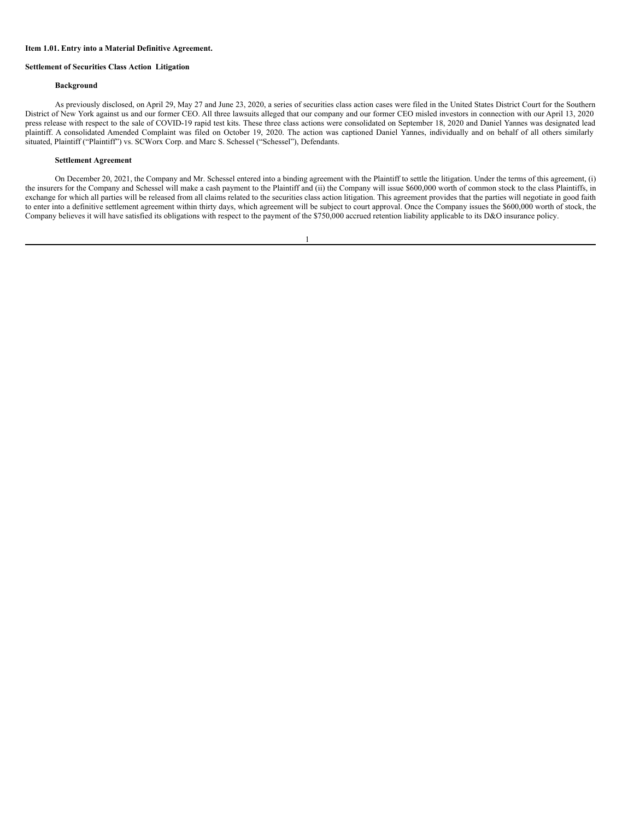#### **Item 1.01. Entry into a Material Definitive Agreement.**

### **Settlement of Securities Class Action Litigation**

## **Background**

As previously disclosed, on April 29, May 27 and June 23, 2020, a series of securities class action cases were filed in the United States District Court for the Southern District of New York against us and our former CEO. All three lawsuits alleged that our company and our former CEO misled investors in connection with our April 13, 2020 press release with respect to the sale of COVID-19 rapid test kits. These three class actions were consolidated on September 18, 2020 and Daniel Yannes was designated lead plaintiff. A consolidated Amended Complaint was filed on October 19, 2020. The action was captioned Daniel Yannes, individually and on behalf of all others similarly situated, Plaintiff ("Plaintiff") vs. SCWorx Corp. and Marc S. Schessel ("Schessel"), Defendants.

## **Settlement Agreement**

On December 20, 2021, the Company and Mr. Schessel entered into a binding agreement with the Plaintiff to settle the litigation. Under the terms of this agreement, (i) the insurers for the Company and Schessel will make a cash payment to the Plaintiff and (ii) the Company will issue \$600,000 worth of common stock to the class Plaintiffs, in exchange for which all parties will be released from all claims related to the securities class action litigation. This agreement provides that the parties will negotiate in good faith to enter into a definitive settlement agreement within thirty days, which agreement will be subject to court approval. Once the Company issues the \$600,000 worth of stock, the Company believes it will have satisfied its obligations with respect to the payment of the \$750,000 accrued retention liability applicable to its D&O insurance policy.